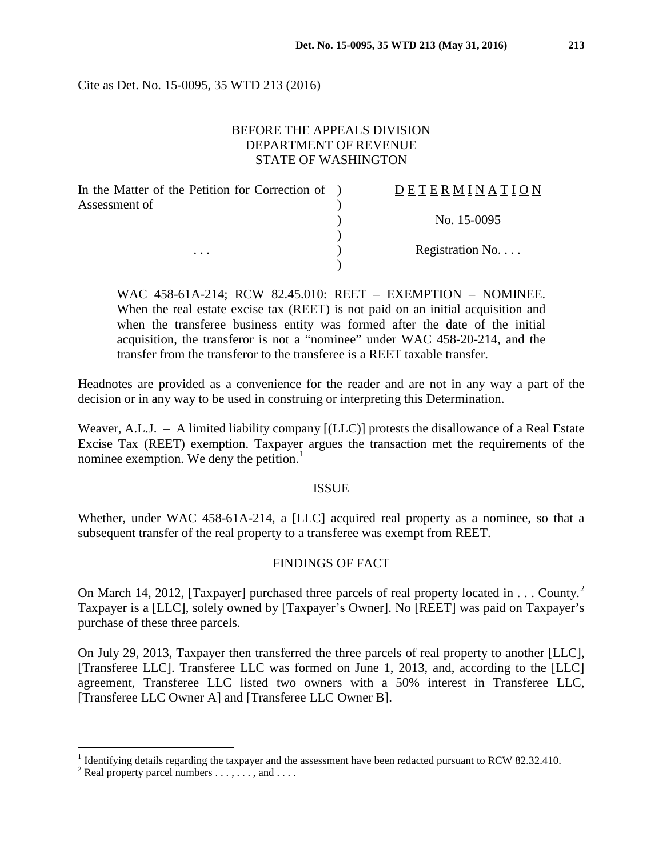Cite as Det. No. 15-0095, 35 WTD 213 (2016)

### BEFORE THE APPEALS DIVISION DEPARTMENT OF REVENUE STATE OF WASHINGTON

| In the Matter of the Petition for Correction of ) | DETERMINATION    |
|---------------------------------------------------|------------------|
| Assessment of<br>$\cdots$                         |                  |
|                                                   | No. 15-0095      |
|                                                   | Registration No. |
|                                                   |                  |

WAC 458-61A-214; RCW 82.45.010: REET – EXEMPTION – NOMINEE. When the real estate excise tax (REET) is not paid on an initial acquisition and when the transferee business entity was formed after the date of the initial acquisition, the transferor is not a "nominee" under WAC 458-20-214, and the transfer from the transferor to the transferee is a REET taxable transfer.

Headnotes are provided as a convenience for the reader and are not in any way a part of the decision or in any way to be used in construing or interpreting this Determination.

Weaver, A.L.J. – A limited liability company [(LLC)] protests the disallowance of a Real Estate Excise Tax (REET) exemption. Taxpayer argues the transaction met the requirements of the nominee exemption. We deny the petition.<sup>[1](#page-0-0)</sup>

#### ISSUE

Whether, under WAC 458-61A-214, a [LLC] acquired real property as a nominee, so that a subsequent transfer of the real property to a transferee was exempt from REET.

### FINDINGS OF FACT

On March 14, [2](#page-0-1)012, [Taxpayer] purchased three parcels of real property located in  $\dots$  County.<sup>2</sup> Taxpayer is a [LLC], solely owned by [Taxpayer's Owner]. No [REET] was paid on Taxpayer's purchase of these three parcels.

On July 29, 2013, Taxpayer then transferred the three parcels of real property to another [LLC], [Transferee LLC]. Transferee LLC was formed on June 1, 2013, and, according to the [LLC] agreement, Transferee LLC listed two owners with a 50% interest in Transferee LLC, [Transferee LLC Owner A] and [Transferee LLC Owner B].

<span id="page-0-0"></span><sup>&</sup>lt;sup>1</sup> Identifying details regarding the taxpayer and the assessment have been redacted pursuant to RCW 82.32.410.<br><sup>2</sup> Real property parcel numbers . . . , . . . , and . . . .

<span id="page-0-1"></span>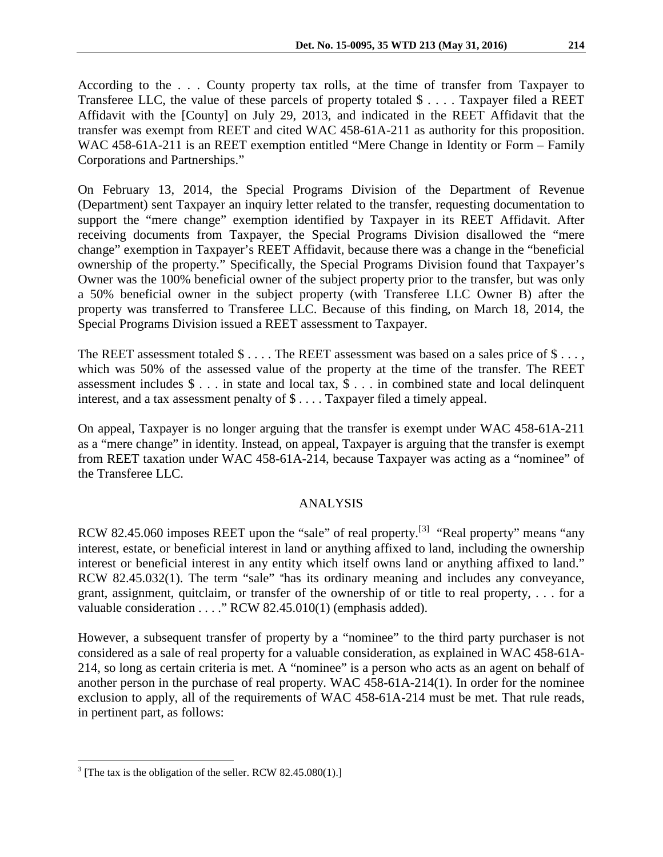According to the . . . County property tax rolls, at the time of transfer from Taxpayer to Transferee LLC, the value of these parcels of property totaled \$ . . . . Taxpayer filed a REET Affidavit with the [County] on July 29, 2013, and indicated in the REET Affidavit that the transfer was exempt from REET and cited WAC 458-61A-211 as authority for this proposition. WAC 458-61A-211 is an REET exemption entitled "Mere Change in Identity or Form – Family Corporations and Partnerships."

On February 13, 2014, the Special Programs Division of the Department of Revenue (Department) sent Taxpayer an inquiry letter related to the transfer, requesting documentation to support the "mere change" exemption identified by Taxpayer in its REET Affidavit. After receiving documents from Taxpayer, the Special Programs Division disallowed the "mere change" exemption in Taxpayer's REET Affidavit, because there was a change in the "beneficial ownership of the property." Specifically, the Special Programs Division found that Taxpayer's Owner was the 100% beneficial owner of the subject property prior to the transfer, but was only a 50% beneficial owner in the subject property (with Transferee LLC Owner B) after the property was transferred to Transferee LLC. Because of this finding, on March 18, 2014, the Special Programs Division issued a REET assessment to Taxpayer.

The REET assessment totaled \$ . . . . The REET assessment was based on a sales price of \$ . . . , which was 50% of the assessed value of the property at the time of the transfer. The REET assessment includes  $\hat{\mathcal{S}}$ ... in state and local tax,  $\hat{\mathcal{S}}$ ... in combined state and local delinquent interest, and a tax assessment penalty of \$ . . . . Taxpayer filed a timely appeal.

On appeal, Taxpayer is no longer arguing that the transfer is exempt under WAC 458-61A-211 as a "mere change" in identity. Instead, on appeal, Taxpayer is arguing that the transfer is exempt from REET taxation under WAC 458-61A-214, because Taxpayer was acting as a "nominee" of the Transferee LLC.

## ANALYSIS

RCW 82.45.060 imposes REET upon the "sale" of real property.<sup>[[3\]](#page-1-0)</sup> "Real property" means "any interest, estate, or beneficial interest in land or anything affixed to land, including the ownership interest or beneficial interest in any entity which itself owns land or anything affixed to land." RCW 82.45.032(1). The term "sale" "has its ordinary meaning and includes any conveyance, grant, assignment, quitclaim, or transfer of the ownership of or title to real property, . . . for a valuable consideration . . . ." RCW 82.45.010(1) (emphasis added).

However, a subsequent transfer of property by a "nominee" to the third party purchaser is not considered as a sale of real property for a valuable consideration, as explained in WAC 458-61A-214, so long as certain criteria is met. A "nominee" is a person who acts as an agent on behalf of another person in the purchase of real property. WAC 458-61A-214(1). In order for the nominee exclusion to apply, all of the requirements of WAC 458-61A-214 must be met. That rule reads, in pertinent part, as follows:

<span id="page-1-0"></span> $3$  [The tax is the obligation of the seller. RCW 82.45.080(1).]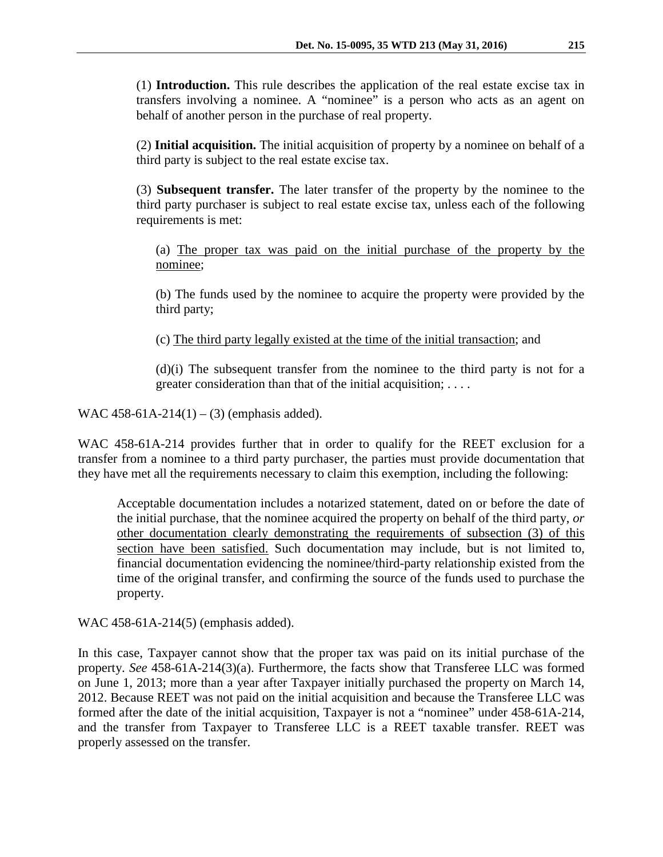(1) **Introduction.** This rule describes the application of the real estate excise tax in transfers involving a nominee. A "nominee" is a person who acts as an agent on behalf of another person in the purchase of real property.

(2) **Initial acquisition.** The initial acquisition of property by a nominee on behalf of a third party is subject to the real estate excise tax.

(3) **Subsequent transfer.** The later transfer of the property by the nominee to the third party purchaser is subject to real estate excise tax, unless each of the following requirements is met:

(a) The proper tax was paid on the initial purchase of the property by the nominee;

(b) The funds used by the nominee to acquire the property were provided by the third party;

(c) The third party legally existed at the time of the initial transaction; and

(d)(i) The subsequent transfer from the nominee to the third party is not for a greater consideration than that of the initial acquisition; . . . .

WAC  $458-61A-214(1) - (3)$  (emphasis added).

WAC 458-61A-214 provides further that in order to qualify for the REET exclusion for a transfer from a nominee to a third party purchaser, the parties must provide documentation that they have met all the requirements necessary to claim this exemption, including the following:

Acceptable documentation includes a notarized statement, dated on or before the date of the initial purchase, that the nominee acquired the property on behalf of the third party, *or*  other documentation clearly demonstrating the requirements of subsection (3) of this section have been satisfied. Such documentation may include, but is not limited to, financial documentation evidencing the nominee/third-party relationship existed from the time of the original transfer, and confirming the source of the funds used to purchase the property.

WAC 458-61A-214(5) (emphasis added).

In this case, Taxpayer cannot show that the proper tax was paid on its initial purchase of the property. *See* 458-61A-214(3)(a). Furthermore, the facts show that Transferee LLC was formed on June 1, 2013; more than a year after Taxpayer initially purchased the property on March 14, 2012. Because REET was not paid on the initial acquisition and because the Transferee LLC was formed after the date of the initial acquisition, Taxpayer is not a "nominee" under 458-61A-214, and the transfer from Taxpayer to Transferee LLC is a REET taxable transfer. REET was properly assessed on the transfer.